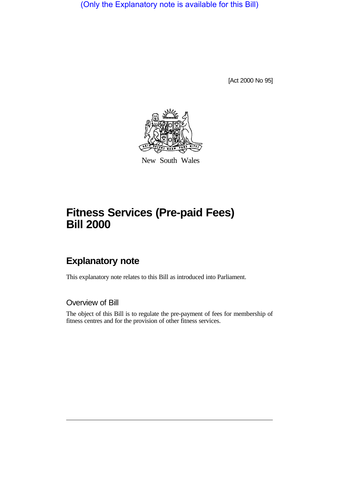(Only the Explanatory note is available for this Bill)

[Act 2000 No 95]



New South Wales

# **Fitness Services (Pre-paid Fees) Bill 2000**

# **Explanatory note**

This explanatory note relates to this Bill as introduced into Parliament.

Overview of Bill

The object of this Bill is to regulate the pre-payment of fees for membership of fitness centres and for the provision of other fitness services.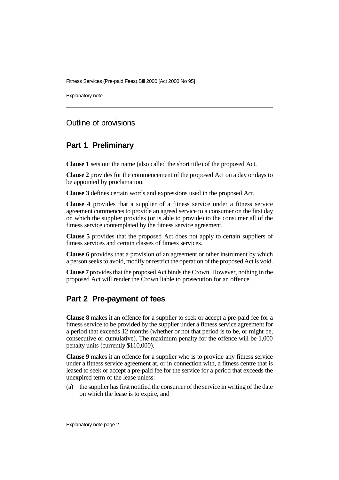Explanatory note

#### Outline of provisions

#### **Part 1 Preliminary**

**Clause 1** sets out the name (also called the short title) of the proposed Act.

**Clause 2** provides for the commencement of the proposed Act on a day or days to be appointed by proclamation.

**Clause 3** defines certain words and expressions used in the proposed Act.

**Clause 4** provides that a supplier of a fitness service under a fitness service agreement commences to provide an agreed service to a consumer on the first day on which the supplier provides (or is able to provide) to the consumer all of the fitness service contemplated by the fitness service agreement.

**Clause 5** provides that the proposed Act does not apply to certain suppliers of fitness services and certain classes of fitness services.

**Clause 6** provides that a provision of an agreement or other instrument by which a person seeks to avoid, modify or restrict the operation of the proposed Act is void.

**Clause 7** provides that the proposed Act binds the Crown. However, nothing in the proposed Act will render the Crown liable to prosecution for an offence.

## **Part 2 Pre-payment of fees**

**Clause 8** makes it an offence for a supplier to seek or accept a pre-paid fee for a fitness service to be provided by the supplier under a fitness service agreement for a period that exceeds 12 months (whether or not that period is to be, or might be, consecutive or cumulative). The maximum penalty for the offence will be 1,000 penalty units (currently \$110,000).

**Clause 9** makes it an offence for a supplier who is to provide any fitness service under a fitness service agreement at, or in connection with, a fitness centre that is leased to seek or accept a pre-paid fee for the service for a period that exceeds the unexpired term of the lease unless:

(a) the supplier has first notified the consumer of the service in writing of the date on which the lease is to expire, and

Explanatory note page 2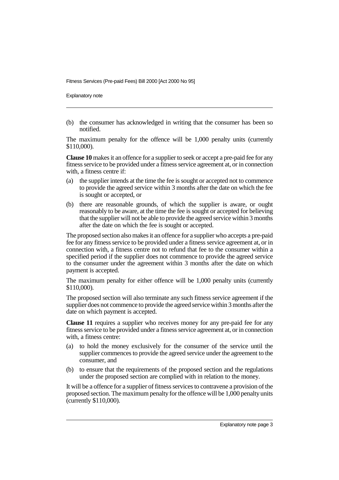Explanatory note

(b) the consumer has acknowledged in writing that the consumer has been so notified.

The maximum penalty for the offence will be 1,000 penalty units (currently \$110,000).

**Clause 10** makes it an offence for a supplier to seek or accept a pre-paid fee for any fitness service to be provided under a fitness service agreement at, or in connection with, a fitness centre if:

- (a) the supplier intends at the time the fee is sought or accepted not to commence to provide the agreed service within 3 months after the date on which the fee is sought or accepted, or
- (b) there are reasonable grounds, of which the supplier is aware, or ought reasonably to be aware, at the time the fee is sought or accepted for believing that the supplier will not be able to provide the agreed service within 3 months after the date on which the fee is sought or accepted.

The proposed section also makes it an offence for a supplier who accepts a pre-paid fee for any fitness service to be provided under a fitness service agreement at, or in connection with, a fitness centre not to refund that fee to the consumer within a specified period if the supplier does not commence to provide the agreed service to the consumer under the agreement within 3 months after the date on which payment is accepted.

The maximum penalty for either offence will be 1,000 penalty units (currently \$110,000).

The proposed section will also terminate any such fitness service agreement if the supplier does not commence to provide the agreed service within 3 months after the date on which payment is accepted.

**Clause 11** requires a supplier who receives money for any pre-paid fee for any fitness service to be provided under a fitness service agreement at, or in connection with, a fitness centre:

- (a) to hold the money exclusively for the consumer of the service until the supplier commences to provide the agreed service under the agreement to the consumer, and
- (b) to ensure that the requirements of the proposed section and the regulations under the proposed section are complied with in relation to the money.

It will be a offence for a supplier of fitness services to contravene a provision of the proposed section. The maximum penalty for the offence will be 1,000 penalty units (currently \$110,000).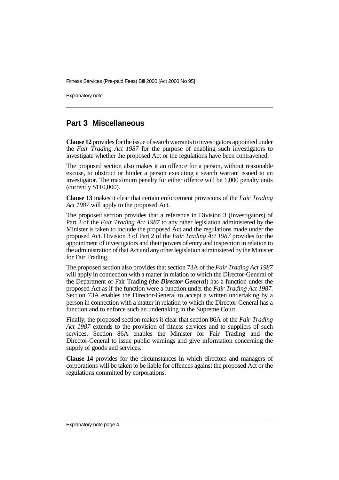Explanatory note

#### **Part 3 Miscellaneous**

**Clause 12** provides for the issue of search warrants to investigators appointed under the *Fair Trading Act 1987* for the purpose of enabling such investigators to investigate whether the proposed Act or the regulations have been contravened.

The proposed section also makes it an offence for a person, without reasonable excuse, to obstruct or hinder a person executing a search warrant issued to an investigator. The maximum penalty for either offence will be 1,000 penalty units (currently \$110,000).

**Clause 13** makes it clear that certain enforcement provisions of the *Fair Trading Act 1987* will apply to the proposed Act.

The proposed section provides that a reference in Division 3 (Investigators) of Part 2 of the *Fair Trading Act 1987* to any other legislation administered by the Minister is taken to include the proposed Act and the regulations made under the proposed Act. Division 3 of Part 2 of the *Fair Trading Act 1987* provides for the appointment of investigators and their powers of entry and inspection in relation to the administration of that Act and any other legislation administered by the Minister for Fair Trading.

The proposed section also provides that section 73A of the *Fair Trading Act 1987* will apply in connection with a matter in relation to which the Director-General of the Department of Fair Trading (the *Director-General*) has a function under the proposed Act as if the function were a function under the *Fair Trading Act 1987*. Section 73A enables the Director-General to accept a written undertaking by a person in connection with a matter in relation to which the Director-General has a function and to enforce such an undertaking in the Supreme Court.

Finally, the proposed section makes it clear that section 86A of the *Fair Trading Act 1987* extends to the provision of fitness services and to suppliers of such services. Section 86A enables the Minister for Fair Trading and the Director-General to issue public warnings and give information concerning the supply of goods and services.

**Clause 14** provides for the circumstances in which directors and managers of corporations will be taken to be liable for offences against the proposed Act or the regulations committed by corporations.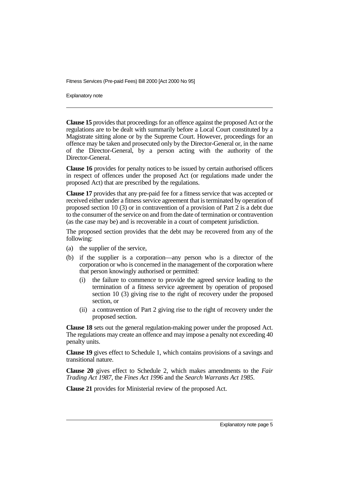Explanatory note

**Clause 15** provides that proceedings for an offence against the proposed Act or the regulations are to be dealt with summarily before a Local Court constituted by a Magistrate sitting alone or by the Supreme Court. However, proceedings for an offence may be taken and prosecuted only by the Director-General or, in the name of the Director-General, by a person acting with the authority of the Director-General.

**Clause 16** provides for penalty notices to be issued by certain authorised officers in respect of offences under the proposed Act (or regulations made under the proposed Act) that are prescribed by the regulations.

**Clause 17** provides that any pre-paid fee for a fitness service that was accepted or received either under a fitness service agreement that is terminated by operation of proposed section 10 (3) or in contravention of a provision of Part 2 is a debt due to the consumer of the service on and from the date of termination or contravention (as the case may be) and is recoverable in a court of competent jurisdiction.

The proposed section provides that the debt may be recovered from any of the following:

- (a) the supplier of the service,
- (b) if the supplier is a corporation—any person who is a director of the corporation or who is concerned in the management of the corporation where that person knowingly authorised or permitted:
	- (i) the failure to commence to provide the agreed service leading to the termination of a fitness service agreement by operation of proposed section 10 (3) giving rise to the right of recovery under the proposed section, or
	- (ii) a contravention of Part 2 giving rise to the right of recovery under the proposed section.

**Clause 18** sets out the general regulation-making power under the proposed Act. The regulations may create an offence and may impose a penalty not exceeding 40 penalty units.

**Clause 19** gives effect to Schedule 1, which contains provisions of a savings and transitional nature.

**Clause 20** gives effect to Schedule 2, which makes amendments to the *Fair Trading Act 1987*, the *Fines Act 1996* and the *Search Warrants Act 1985*.

**Clause 21** provides for Ministerial review of the proposed Act.